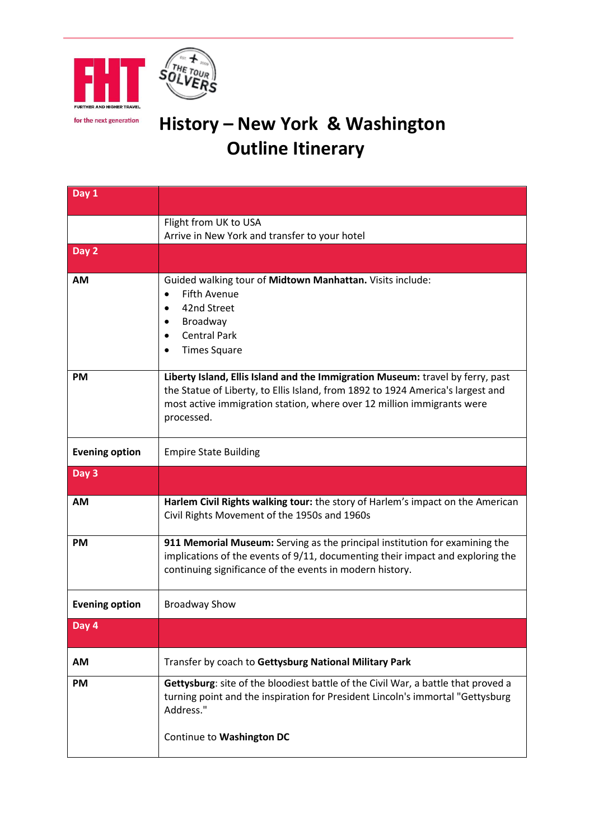



## for the next generation **History – New York & Washington Outline Itinerary**

| Day 1                 |                                                                                                                                                                                                                                                           |
|-----------------------|-----------------------------------------------------------------------------------------------------------------------------------------------------------------------------------------------------------------------------------------------------------|
|                       | Flight from UK to USA                                                                                                                                                                                                                                     |
|                       | Arrive in New York and transfer to your hotel                                                                                                                                                                                                             |
| Day 2                 |                                                                                                                                                                                                                                                           |
| <b>AM</b>             | Guided walking tour of Midtown Manhattan. Visits include:<br><b>Fifth Avenue</b><br>$\bullet$<br>42nd Street<br>$\bullet$<br>Broadway<br>$\bullet$<br><b>Central Park</b><br><b>Times Square</b>                                                          |
| <b>PM</b>             | Liberty Island, Ellis Island and the Immigration Museum: travel by ferry, past<br>the Statue of Liberty, to Ellis Island, from 1892 to 1924 America's largest and<br>most active immigration station, where over 12 million immigrants were<br>processed. |
| <b>Evening option</b> | <b>Empire State Building</b>                                                                                                                                                                                                                              |
| Day 3                 |                                                                                                                                                                                                                                                           |
| <b>AM</b>             | Harlem Civil Rights walking tour: the story of Harlem's impact on the American<br>Civil Rights Movement of the 1950s and 1960s                                                                                                                            |
| <b>PM</b>             | 911 Memorial Museum: Serving as the principal institution for examining the<br>implications of the events of 9/11, documenting their impact and exploring the<br>continuing significance of the events in modern history.                                 |
| <b>Evening option</b> | <b>Broadway Show</b>                                                                                                                                                                                                                                      |
| Day 4                 |                                                                                                                                                                                                                                                           |
| AM                    | Transfer by coach to Gettysburg National Military Park                                                                                                                                                                                                    |
| PM                    | Gettysburg: site of the bloodiest battle of the Civil War, a battle that proved a<br>turning point and the inspiration for President Lincoln's immortal "Gettysburg<br>Address."<br>Continue to Washington DC                                             |